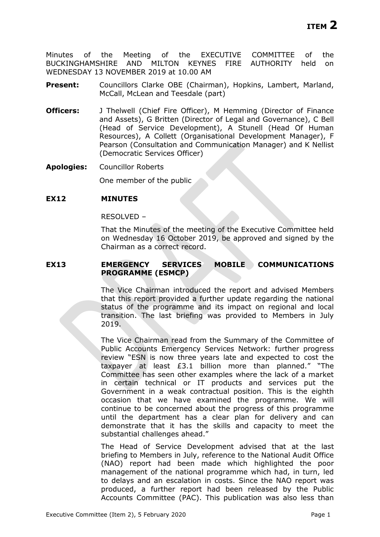Minutes of the Meeting of the EXECUTIVE COMMITTEE of the BUCKINGHAMSHIRE AND MILTON KEYNES FIRE AUTHORITY held on WEDNESDAY 13 NOVEMBER 2019 at 10.00 AM

- **Present:** Councillors Clarke OBE (Chairman), Hopkins, Lambert, Marland, McCall, McLean and Teesdale (part)
- **Officers:** J Thelwell (Chief Fire Officer), M Hemming (Director of Finance and Assets), G Britten (Director of Legal and Governance), C Bell (Head of Service Development), A Stunell (Head Of Human Resources), A Collett (Organisational Development Manager), F Pearson (Consultation and Communication Manager) and K Nellist (Democratic Services Officer)

**Apologies:** Councillor Roberts

One member of the public

#### **EX12 MINUTES**

RESOLVED –

That the Minutes of the meeting of the Executive Committee held on Wednesday 16 October 2019, be approved and signed by the Chairman as a correct record.

### **EX13 EMERGENCY SERVICES MOBILE COMMUNICATIONS PROGRAMME (ESMCP)**

The Vice Chairman introduced the report and advised Members that this report provided a further update regarding the national status of the programme and its impact on regional and local transition. The last briefing was provided to Members in July 2019.

The Vice Chairman read from the Summary of the Committee of Public Accounts Emergency Services Network: further progress review "ESN is now three years late and expected to cost the taxpayer at least £3.1 billion more than planned." "The Committee has seen other examples where the lack of a market in certain technical or IT products and services put the Government in a weak contractual position. This is the eighth occasion that we have examined the programme. We will continue to be concerned about the progress of this programme until the department has a clear plan for delivery and can demonstrate that it has the skills and capacity to meet the substantial challenges ahead."

The Head of Service Development advised that at the last briefing to Members in July, reference to the National Audit Office (NAO) report had been made which highlighted the poor management of the national programme which had, in turn, led to delays and an escalation in costs. Since the NAO report was produced, a further report had been released by the Public Accounts Committee (PAC). This publication was also less than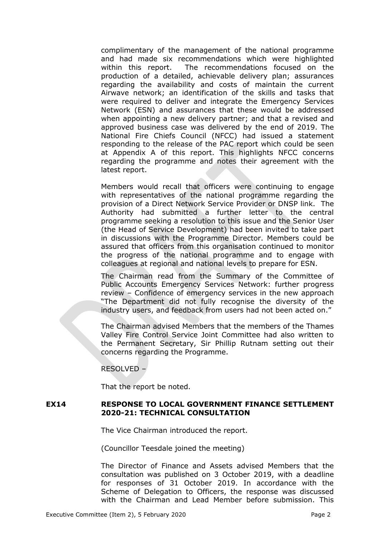complimentary of the management of the national programme and had made six recommendations which were highlighted within this report. The recommendations focused on the production of a detailed, achievable delivery plan; assurances regarding the availability and costs of maintain the current Airwave network; an identification of the skills and tasks that were required to deliver and integrate the Emergency Services Network (ESN) and assurances that these would be addressed when appointing a new delivery partner; and that a revised and approved business case was delivered by the end of 2019. The National Fire Chiefs Council (NFCC) had issued a statement responding to the release of the PAC report which could be seen at Appendix A of this report. This highlights NFCC concerns regarding the programme and notes their agreement with the latest report.

Members would recall that officers were continuing to engage with representatives of the national programme regarding the provision of a Direct Network Service Provider or DNSP link. The Authority had submitted a further letter to the central programme seeking a resolution to this issue and the Senior User (the Head of Service Development) had been invited to take part in discussions with the Programme Director. Members could be assured that officers from this organisation continued to monitor the progress of the national programme and to engage with colleagues at regional and national levels to prepare for ESN.

The Chairman read from the Summary of the Committee of Public Accounts Emergency Services Network: further progress review – Confidence of emergency services in the new approach "The Department did not fully recognise the diversity of the industry users, and feedback from users had not been acted on."

The Chairman advised Members that the members of the Thames Valley Fire Control Service Joint Committee had also written to the Permanent Secretary, Sir Phillip Rutnam setting out their concerns regarding the Programme.

RESOLVED –

That the report be noted.

# **EX14 RESPONSE TO LOCAL GOVERNMENT FINANCE SETTLEMENT 2020-21: TECHNICAL CONSULTATION**

The Vice Chairman introduced the report.

(Councillor Teesdale joined the meeting)

The Director of Finance and Assets advised Members that the consultation was published on 3 October 2019, with a deadline for responses of 31 October 2019. In accordance with the Scheme of Delegation to Officers, the response was discussed with the Chairman and Lead Member before submission. This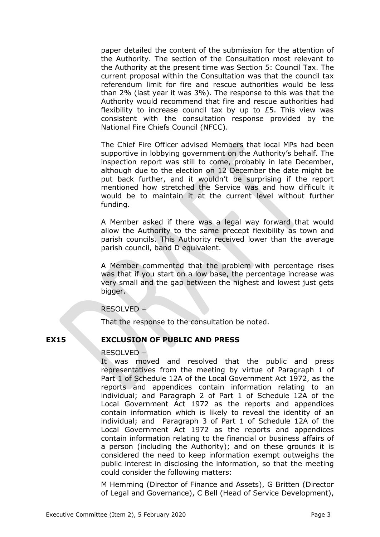paper detailed the content of the submission for the attention of the Authority. The section of the Consultation most relevant to the Authority at the present time was Section 5: Council Tax. The current proposal within the Consultation was that the council tax referendum limit for fire and rescue authorities would be less than 2% (last year it was 3%). The response to this was that the Authority would recommend that fire and rescue authorities had flexibility to increase council tax by up to £5. This view was consistent with the consultation response provided by the National Fire Chiefs Council (NFCC).

The Chief Fire Officer advised Members that local MPs had been supportive in lobbying government on the Authority's behalf. The inspection report was still to come, probably in late December, although due to the election on 12 December the date might be put back further, and it wouldn't be surprising if the report mentioned how stretched the Service was and how difficult it would be to maintain it at the current level without further funding.

A Member asked if there was a legal way forward that would allow the Authority to the same precept flexibility as town and parish councils. This Authority received lower than the average parish council, band D equivalent.

A Member commented that the problem with percentage rises was that if you start on a low base, the percentage increase was very small and the gap between the highest and lowest just gets bigger.

# RESOLVED –

That the response to the consultation be noted.

# **EX15 EXCLUSION OF PUBLIC AND PRESS**

# RESOLVED –

It was moved and resolved that the public and press representatives from the meeting by virtue of Paragraph 1 of Part 1 of Schedule 12A of the Local Government Act 1972, as the reports and appendices contain information relating to an individual; and Paragraph 2 of Part 1 of Schedule 12A of the Local Government Act 1972 as the reports and appendices contain information which is likely to reveal the identity of an individual; and Paragraph 3 of Part 1 of Schedule 12A of the Local Government Act 1972 as the reports and appendices contain information relating to the financial or business affairs of a person (including the Authority); and on these grounds it is considered the need to keep information exempt outweighs the public interest in disclosing the information, so that the meeting could consider the following matters:

M Hemming (Director of Finance and Assets), G Britten (Director of Legal and Governance), C Bell (Head of Service Development),